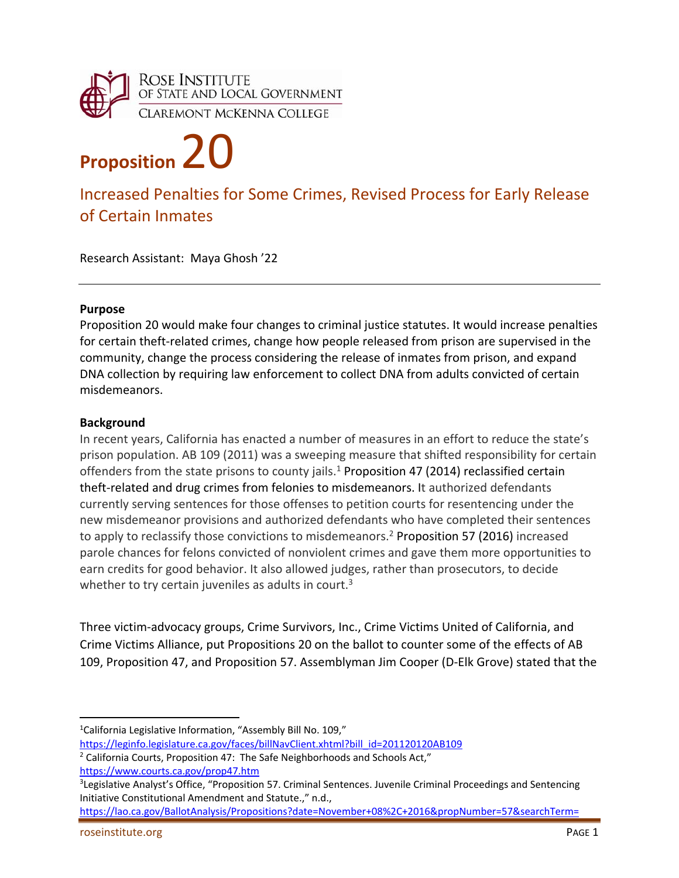

# **Proposition** 20

# Increased Penalties for Some Crimes, Revised Process for Early Release of Certain Inmates

Research Assistant: Maya Ghosh '22

## **Purpose**

Proposition 20 would make four changes to criminal justice statutes. It would increase penalties for certain theft-related crimes, change how people released from prison are supervised in the community, change the process considering the release of inmates from prison, and expand DNA collection by requiring law enforcement to collect DNA from adults convicted of certain misdemeanors.

## **Background**

In recent years, California has enacted a number of measures in an effort to reduce the state's prison population. AB 109 (2011) was a sweeping measure that shifted responsibility for certain offenders from the state prisons to county jails.<sup>1</sup> Proposition 47 (2014) reclassified certain theft-related and drug crimes from felonies to misdemeanors. It authorized defendants currently serving sentences for those offenses to petition courts for resentencing under the new misdemeanor provisions and authorized defendants who have completed their sentences to apply to reclassify those convictions to misdemeanors.<sup>2</sup> Proposition 57 (2016) increased parole chances for felons convicted of nonviolent crimes and gave them more opportunities to earn credits for good behavior. It also allowed judges, rather than prosecutors, to decide whether to try certain juveniles as adults in court.<sup>3</sup>

Three victim‐advocacy groups, Crime Survivors, Inc., Crime Victims United of California, and Crime Victims Alliance, put Propositions 20 on the ballot to counter some of the effects of AB 109, Proposition 47, and Proposition 57. Assemblyman Jim Cooper (D‐Elk Grove) stated that the

<sup>&</sup>lt;sup>1</sup>California Legislative Information, "Assembly Bill No. 109,"

https://leginfo.legislature.ca.gov/faces/billNavClient.xhtml?bill\_id=201120120AB109

 $2$  California Courts, Proposition 47: The Safe Neighborhoods and Schools Act,"

https://www.courts.ca.gov/prop47.htm

<sup>&</sup>lt;sup>3</sup>Legislative Analyst's Office, "Proposition 57. Criminal Sentences. Juvenile Criminal Proceedings and Sentencing Initiative Constitutional Amendment and Statute.," n.d.,

https://lao.ca.gov/BallotAnalysis/Propositions?date=November+08%2C+2016&propNumber=57&searchTerm=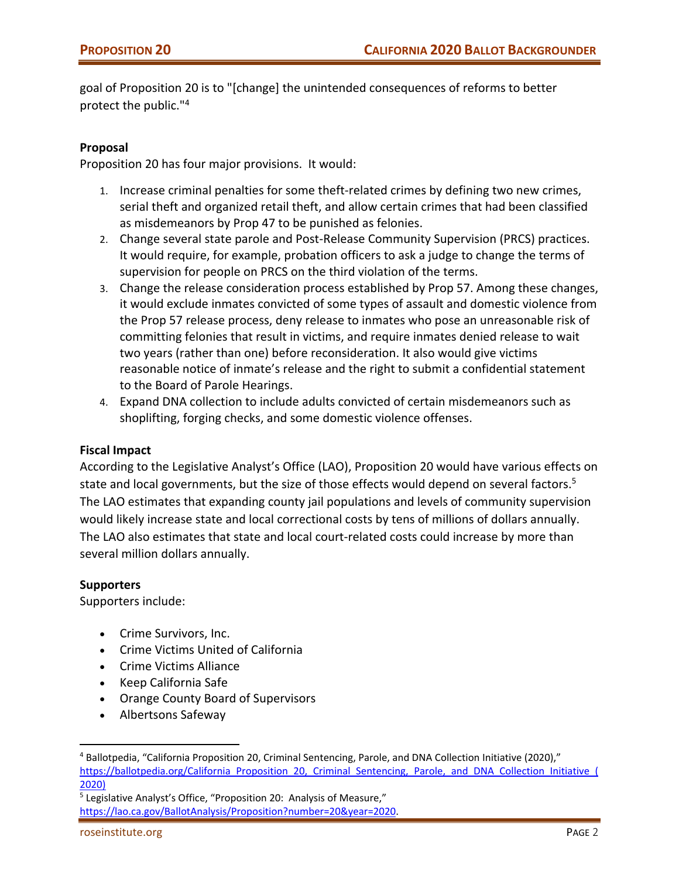goal of Proposition 20 is to "[change] the unintended consequences of reforms to better protect the public."4

# **Proposal**

Proposition 20 has four major provisions. It would:

- 1. Increase criminal penalties for some theft‐related crimes by defining two new crimes, serial theft and organized retail theft, and allow certain crimes that had been classified as misdemeanors by Prop 47 to be punished as felonies.
- 2. Change several state parole and Post‐Release Community Supervision (PRCS) practices. It would require, for example, probation officers to ask a judge to change the terms of supervision for people on PRCS on the third violation of the terms.
- 3. Change the release consideration process established by Prop 57. Among these changes, it would exclude inmates convicted of some types of assault and domestic violence from the Prop 57 release process, deny release to inmates who pose an unreasonable risk of committing felonies that result in victims, and require inmates denied release to wait two years (rather than one) before reconsideration. It also would give victims reasonable notice of inmate's release and the right to submit a confidential statement to the Board of Parole Hearings.
- 4. Expand DNA collection to include adults convicted of certain misdemeanors such as shoplifting, forging checks, and some domestic violence offenses.

# **Fiscal Impact**

According to the Legislative Analyst's Office (LAO), Proposition 20 would have various effects on state and local governments, but the size of those effects would depend on several factors.<sup>5</sup> The LAO estimates that expanding county jail populations and levels of community supervision would likely increase state and local correctional costs by tens of millions of dollars annually. The LAO also estimates that state and local court-related costs could increase by more than several million dollars annually.

#### **Supporters**

Supporters include:

- Crime Survivors, Inc.
- Crime Victims United of California
- Crime Victims Alliance
- Keep California Safe
- Orange County Board of Supervisors
- Albertsons Safeway

<sup>4</sup> Ballotpedia, "California Proposition 20, Criminal Sentencing, Parole, and DNA Collection Initiative (2020)," https://ballotpedia.org/California Proposition 20, Criminal Sentencing, Parole, and DNA Collection Initiative ( 2020)

<sup>5</sup> Legislative Analyst's Office, "Proposition 20: Analysis of Measure," https://lao.ca.gov/BallotAnalysis/Proposition?number=20&year=2020.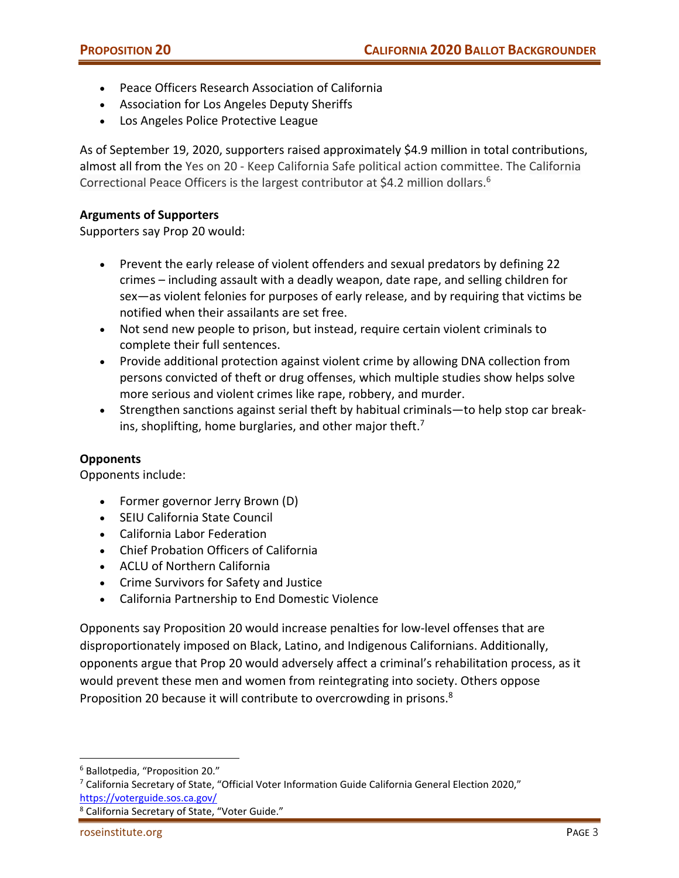- Peace Officers Research Association of California
- Association for Los Angeles Deputy Sheriffs
- Los Angeles Police Protective League

As of September 19, 2020, supporters raised approximately \$4.9 million in total contributions, almost all from the Yes on 20 ‐ Keep California Safe political action committee. The California Correctional Peace Officers is the largest contributor at \$4.2 million dollars.<sup>6</sup>

# **Arguments of Supporters**

Supporters say Prop 20 would:

- Prevent the early release of violent offenders and sexual predators by defining 22 crimes – including assault with a deadly weapon, date rape, and selling children for sex—as violent felonies for purposes of early release, and by requiring that victims be notified when their assailants are set free.
- Not send new people to prison, but instead, require certain violent criminals to complete their full sentences.
- Provide additional protection against violent crime by allowing DNA collection from persons convicted of theft or drug offenses, which multiple studies show helps solve more serious and violent crimes like rape, robbery, and murder.
- Strengthen sanctions against serial theft by habitual criminals—to help stop car breakins, shoplifting, home burglaries, and other major theft.<sup>7</sup>

#### **Opponents**

Opponents include:

- Former governor Jerry Brown (D)
- SEIU California State Council
- California Labor Federation
- Chief Probation Officers of California
- ACLU of Northern California
- Crime Survivors for Safety and Justice
- California Partnership to End Domestic Violence

Opponents say Proposition 20 would increase penalties for low‐level offenses that are disproportionately imposed on Black, Latino, and Indigenous Californians. Additionally, opponents argue that Prop 20 would adversely affect a criminal's rehabilitation process, as it would prevent these men and women from reintegrating into society. Others oppose Proposition 20 because it will contribute to overcrowding in prisons.<sup>8</sup>

<sup>6</sup> Ballotpedia, "Proposition 20."

 $7$  California Secretary of State, "Official Voter Information Guide California General Election 2020," https://voterguide.sos.ca.gov/

<sup>8</sup> California Secretary of State, "Voter Guide."